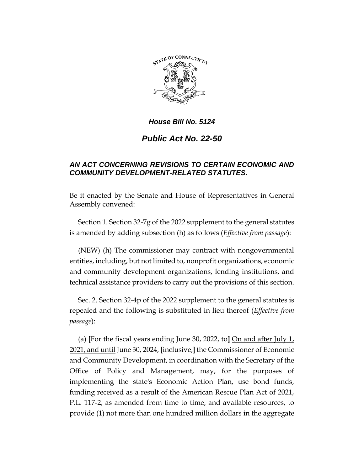

# *Public Act No. 22-50*

## *AN ACT CONCERNING REVISIONS TO CERTAIN ECONOMIC AND COMMUNITY DEVELOPMENT-RELATED STATUTES.*

Be it enacted by the Senate and House of Representatives in General Assembly convened:

Section 1. Section 32-7g of the 2022 supplement to the general statutes is amended by adding subsection (h) as follows (*Effective from passage*):

(NEW) (h) The commissioner may contract with nongovernmental entities, including, but not limited to, nonprofit organizations, economic and community development organizations, lending institutions, and technical assistance providers to carry out the provisions of this section.

Sec. 2. Section 32-4p of the 2022 supplement to the general statutes is repealed and the following is substituted in lieu thereof (*Effective from passage*):

(a) **[**For the fiscal years ending June 30, 2022, to**]** On and after July 1, 2021, and until June 30, 2024, **[**inclusive,**]** the Commissioner of Economic and Community Development, in coordination with the Secretary of the Office of Policy and Management, may, for the purposes of implementing the state's Economic Action Plan, use bond funds, funding received as a result of the American Rescue Plan Act of 2021, P.L. 117-2, as amended from time to time, and available resources, to provide (1) not more than one hundred million dollars <u>in the aggregate</u>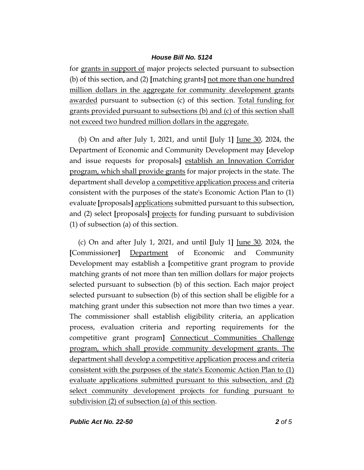for grants in support of major projects selected pursuant to subsection (b) of this section, and (2) **[**matching grants**]** not more than one hundred million dollars in the aggregate for community development grants awarded pursuant to subsection (c) of this section. Total funding for grants provided pursuant to subsections (b) and (c) of this section shall not exceed two hundred million dollars in the aggregate.

(b) On and after July 1, 2021, and until **[**July 1**]** June 30, 2024, the Department of Economic and Community Development may **[**develop and issue requests for proposals**]** establish an Innovation Corridor program, which shall provide grants for major projects in the state. The department shall develop a competitive application process and criteria consistent with the purposes of the state's Economic Action Plan to (1) evaluate **[**proposals**]** applications submitted pursuant to this subsection, and (2) select **[**proposals**]** projects for funding pursuant to subdivision (1) of subsection (a) of this section.

(c) On and after July 1, 2021, and until **[**July 1**]** June 30, 2024, the **[**Commissioner**]** Department of Economic and Community Development may establish a **[**competitive grant program to provide matching grants of not more than ten million dollars for major projects selected pursuant to subsection (b) of this section. Each major project selected pursuant to subsection (b) of this section shall be eligible for a matching grant under this subsection not more than two times a year. The commissioner shall establish eligibility criteria, an application process, evaluation criteria and reporting requirements for the competitive grant program**]** Connecticut Communities Challenge program, which shall provide community development grants. The department shall develop a competitive application process and criteria consistent with the purposes of the state's Economic Action Plan to (1) evaluate applications submitted pursuant to this subsection, and (2) select community development projects for funding pursuant to subdivision (2) of subsection (a) of this section.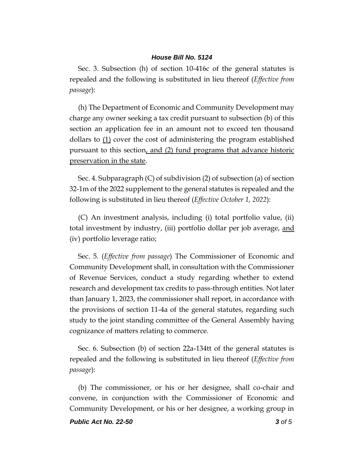Sec. 3. Subsection (h) of section 10-416c of the general statutes is repealed and the following is substituted in lieu thereof (*Effective from passage*):

(h) The Department of Economic and Community Development may charge any owner seeking a tax credit pursuant to subsection (b) of this section an application fee in an amount not to exceed ten thousand dollars to  $(1)$  cover the cost of administering the program established pursuant to this section, and (2) fund programs that advance historic preservation in the state.

Sec. 4. Subparagraph (C) of subdivision (2) of subsection (a) of section 32-1m of the 2022 supplement to the general statutes is repealed and the following is substituted in lieu thereof (*Effective October 1, 2022*):

(C) An investment analysis, including (i) total portfolio value, (ii) total investment by industry, (iii) portfolio dollar per job average, and (iv) portfolio leverage ratio;

Sec. 5. (*Effective from passage*) The Commissioner of Economic and Community Development shall, in consultation with the Commissioner of Revenue Services, conduct a study regarding whether to extend research and development tax credits to pass-through entities. Not later than January 1, 2023, the commissioner shall report, in accordance with the provisions of section 11-4a of the general statutes, regarding such study to the joint standing committee of the General Assembly having cognizance of matters relating to commerce.

Sec. 6. Subsection (b) of section 22a-134tt of the general statutes is repealed and the following is substituted in lieu thereof (*Effective from passage*):

(b) The commissioner, or his or her designee, shall co-chair and convene, in conjunction with the Commissioner of Economic and Community Development, or his or her designee, a working group in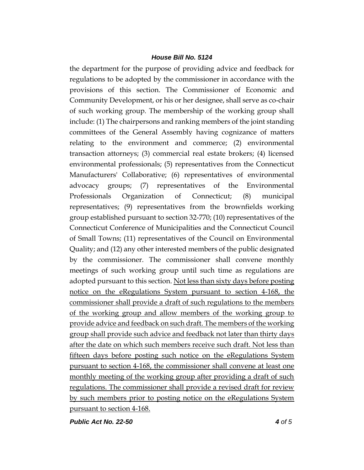the department for the purpose of providing advice and feedback for regulations to be adopted by the commissioner in accordance with the provisions of this section. The Commissioner of Economic and Community Development, or his or her designee, shall serve as co-chair of such working group. The membership of the working group shall include: (1) The chairpersons and ranking members of the joint standing committees of the General Assembly having cognizance of matters relating to the environment and commerce; (2) environmental transaction attorneys; (3) commercial real estate brokers; (4) licensed environmental professionals; (5) representatives from the Connecticut Manufacturers' Collaborative; (6) representatives of environmental advocacy groups; (7) representatives of the Environmental Professionals Organization of Connecticut; (8) municipal representatives; (9) representatives from the brownfields working group established pursuant to section 32-770; (10) representatives of the Connecticut Conference of Municipalities and the Connecticut Council of Small Towns; (11) representatives of the Council on Environmental Quality; and (12) any other interested members of the public designated by the commissioner. The commissioner shall convene monthly meetings of such working group until such time as regulations are adopted pursuant to this section. Not less than sixty days before posting notice on the eRegulations System pursuant to section 4-168, the commissioner shall provide a draft of such regulations to the members of the working group and allow members of the working group to provide advice and feedback on such draft. The members of the working group shall provide such advice and feedback not later than thirty days after the date on which such members receive such draft. Not less than fifteen days before posting such notice on the eRegulations System pursuant to section 4-168, the commissioner shall convene at least one monthly meeting of the working group after providing a draft of such regulations. The commissioner shall provide a revised draft for review by such members prior to posting notice on the eRegulations System pursuant to section 4-168.

*Public Act No. 22-50 4 of 5*